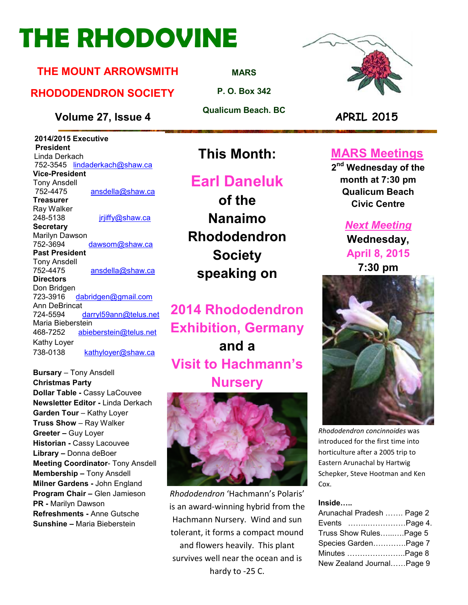# **THE RHODOVINE**

#### **THE MOUNT ARROWSMITH**

#### **RHODODENDRON SOCIETY**

**Volume 27, Issue 4 APRIL 2015**

 **2014/2015 Executive President**  Linda Derkach 752-3545 lindaderkach@shaw.ca **Vice-President**  Tony Ansdell ansdella@shaw.ca **Treasurer**  Ray Walker 248-5138 jrjiffy@shaw.ca **Secretary** Marilyn Dawson 752-3694 dawsom@shaw.ca **Past President**  Tony Ansdell 752-4475 ansdella@shaw.ca **Directors**  Don Bridgen 723-3916 dabridgen@gmail.com Ann DeBrincat<br>724-5594 darryl59ann@telus.net Maria Bieberstein 468-7252 abieberstein@telus.net Kathy Loyer 738-0138 kathyloyer@shaw.ca

**Bursary** – Tony Ansdell **Christmas Party Dollar Table -** Cassy LaCouvee **Newsletter Editor -** Linda Derkach **Garden Tour** – Kathy Loyer **Truss Show** – Ray Walker **Greeter –** Guy Loyer **Historian -** Cassy Lacouvee **Library –** Donna deBoer **Meeting Coordinator- Tony Ansdell Membership –** Tony Ansdell **Milner Gardens -** John England **Program Chair –** Glen Jamieson **PR -** Marilyn Dawson **Refreshments -** Anne Gutsche **Sunshine –** Maria Bieberstein

**MARS**

**P. O. Box 342** 

**Qualicum Beach. BC** 



## **This Month:**

## **Earl Daneluk**

**of the Nanaimo Rhododendron Society speaking on** 

**2014 Rhododendron Exhibition, Germany and a Visit to Hachmann's Nursery** 



*Rhododendron* 'Hachmann's Polaris' is an award-winning hybrid from the Hachmann Nursery. Wind and sun tolerant, it forms a compact mound and flowers heavily. This plant survives well near the ocean and is hardy to -25 C.

## **MARS Meetings**

**2 nd Wednesday of the month at 7:30 pm Qualicum Beach Civic Centre** 

#### *Next Meeting*

**Wednesday, April 8, 2015 7:30 pm** 



*Rhododendron concinnoides* was introduced for the first time into horticulture after a 2005 trip to Eastern Arunachal by Hartwig Schepker, Steve Hootman and Ken Cox.

#### **Inside.....**

| Arunachal Pradesh  Page 2 |  |
|---------------------------|--|
| Events Page 4.            |  |
| Truss Show RulesPage 5    |  |
| Species GardenPage 7      |  |
| Minutes Page 8            |  |
| New Zealand JournalPage 9 |  |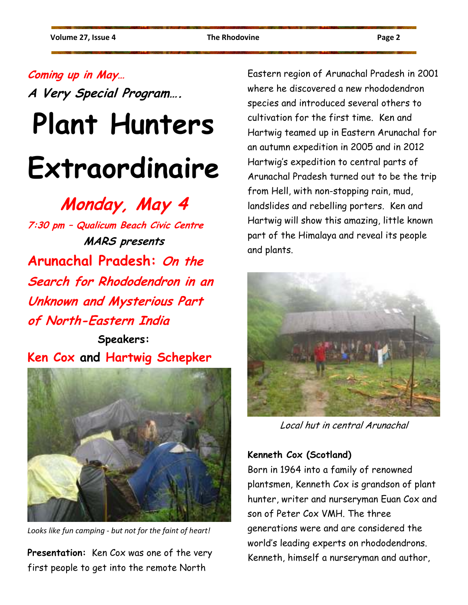## **Coming up in May…**

**A Very Special Program….** 

# **Plant Hunters Extraordinaire**

**Monday, May 4** 

**7:30 pm – Qualicum Beach Civic Centre MARS presents Arunachal Pradesh: On the Search for Rhododendron in an Unknown and Mysterious Part of North-Eastern India** 

**Speakers: Ken Cox and Hartwig Schepker** 



*Looks like fun camping - but not for the faint of heart!* 

**Presentation:** Ken Cox was one of the very first people to get into the remote North

Eastern region of Arunachal Pradesh in 2001 where he discovered a new rhododendron species and introduced several others to cultivation for the first time. Ken and Hartwig teamed up in Eastern Arunachal for an autumn expedition in 2005 and in 2012 Hartwig's expedition to central parts of Arunachal Pradesh turned out to be the trip from Hell, with non-stopping rain, mud, landslides and rebelling porters. Ken and Hartwig will show this amazing, little known part of the Himalaya and reveal its people and plants.



Local hut in central Arunachal

#### **Kenneth Cox (Scotland)**

Born in 1964 into a family of renowned plantsmen, Kenneth Cox is grandson of plant hunter, writer and nurseryman Euan Cox and son of Peter Cox VMH. The three generations were and are considered the world's leading experts on rhododendrons. Kenneth, himself a nurseryman and author,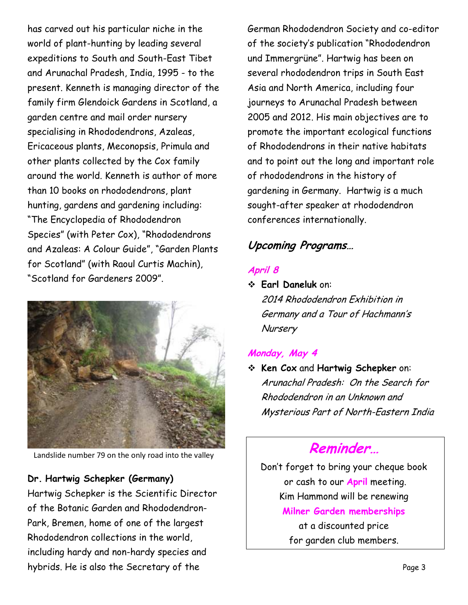has carved out his particular niche in the world of plant-hunting by leading several expeditions to South and South-East Tibet and Arunachal Pradesh, India, 1995 - to the present. Kenneth is managing director of the family firm Glendoick Gardens in Scotland, a garden centre and mail order nursery specialising in Rhododendrons, Azaleas, Ericaceous plants, Meconopsis, Primula and other plants collected by the Cox family around the world. Kenneth is author of more than 10 books on rhododendrons, plant hunting, gardens and gardening including: "The Encyclopedia of Rhododendron Species" (with Peter Cox), "Rhododendrons and Azaleas: A Colour Guide", "Garden Plants for Scotland" (with Raoul Curtis Machin), "Scotland for Gardeners 2009".



Landslide number 79 on the only road into the valley

#### **Dr. Hartwig Schepker (Germany)**

Hartwig Schepker is the Scientific Director of the Botanic Garden and Rhododendron-Park, Bremen, home of one of the largest Rhododendron collections in the world, including hardy and non-hardy species and hybrids. He is also the Secretary of the

German Rhododendron Society and co-editor of the society's publication "Rhododendron und Immergrüne". Hartwig has been on several rhododendron trips in South East Asia and North America, including four journeys to Arunachal Pradesh between 2005 and 2012. His main objectives are to promote the important ecological functions of Rhododendrons in their native habitats and to point out the long and important role of rhododendrons in the history of gardening in Germany. Hartwig is a much sought-after speaker at rhododendron conferences internationally.

## **Upcoming Programs…**

#### **April 8**

 **Earl Daneluk** on: 2014 Rhododendron Exhibition in Germany and a Tour of Hachmann's **Nursery** 

#### **Monday, May 4**

 **Ken Cox** and **Hartwig Schepker** on: Arunachal Pradesh: On the Search for Rhododendron in an Unknown and Mysterious Part of North-Eastern India

## **Reminder…**

Don't forget to bring your cheque book or cash to our **April** meeting. Kim Hammond will be renewing **Milner Garden memberships**  at a discounted price for garden club members.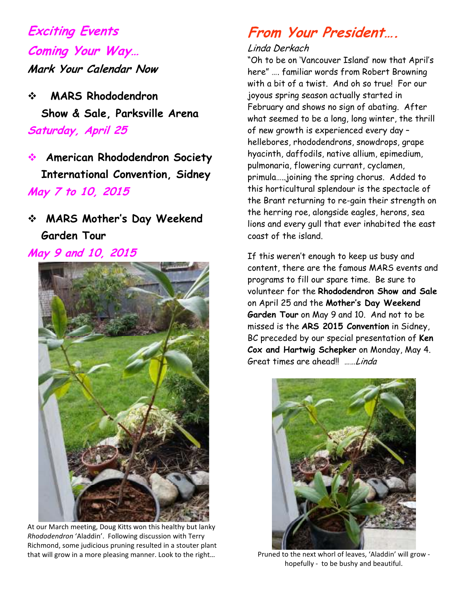## **Exciting Events Coming Your Way… Mark Your Calendar Now**

- **MARS Rhododendron Show & Sale, Parksville Arena Saturday, April 25**
- **American Rhododendron Society International Convention, Sidney May 7 to 10, 2015**
- **MARS Mother's Day Weekend Garden Tour**
- **May 9 and 10, 2015**



At our March meeting, Doug Kitts won this healthy but lanky *Rhododendron* 'Aladdin'. Following discussion with Terry Richmond, some judicious pruning resulted in a stouter plant that will grow in a more pleasing manner. Look to the right…

## **From Your President….**

#### Linda Derkach

"Oh to be on 'Vancouver Island' now that April's here" …. familiar words from Robert Browning with a bit of a twist. And oh so true! For our joyous spring season actually started in February and shows no sign of abating. After what seemed to be a long, long winter, the thrill of new growth is experienced every day – hellebores, rhododendrons, snowdrops, grape hyacinth, daffodils, native allium, epimedium, pulmonaria, flowering currant, cyclamen, primula…..joining the spring chorus. Added to this horticultural splendour is the spectacle of the Brant returning to re-gain their strength on the herring roe, alongside eagles, herons, sea lions and every gull that ever inhabited the east coast of the island.

If this weren't enough to keep us busy and content, there are the famous MARS events and programs to fill our spare time. Be sure to volunteer for the **Rhododendron Show and Sale** on April 25 and the **Mother's Day Weekend Garden Tour** on May 9 and 10. And not to be missed is the **ARS 2015 Convention** in Sidney, BC preceded by our special presentation of **Ken Cox and Hartwig Schepker** on Monday, May 4. Great times are ahead!! ……Linda



Pruned to the next whorl of leaves, 'Aladdin' will grow hopefully - to be bushy and beautiful.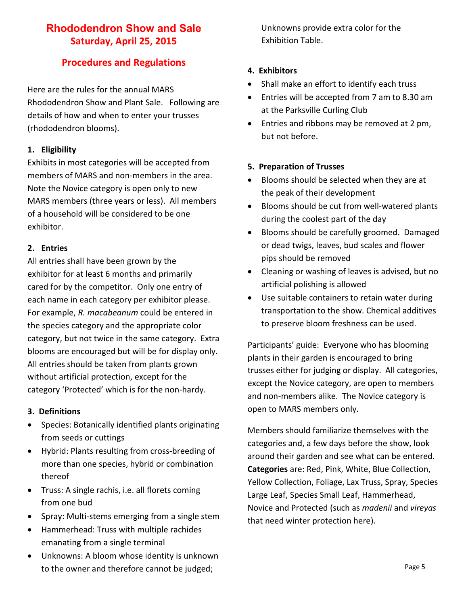#### **Rhododendron Show and Sale Saturday, April 25, 2015**

#### **Procedures and Regulations**

Here are the rules for the annual MARS Rhododendron Show and Plant Sale. Following are details of how and when to enter your trusses (rhododendron blooms).

#### **1. Eligibility**

Exhibits in most categories will be accepted from members of MARS and non-members in the area. Note the Novice category is open only to new MARS members (three years or less). All members of a household will be considered to be one exhibitor.

#### **2. Entries**

All entries shall have been grown by the exhibitor for at least 6 months and primarily cared for by the competitor. Only one entry of each name in each category per exhibitor please. For example, *R. macabeanum* could be entered in the species category and the appropriate color category, but not twice in the same category. Extra blooms are encouraged but will be for display only. All entries should be taken from plants grown without artificial protection, except for the category 'Protected' which is for the non-hardy.

#### **3. Definitions**

- Species: Botanically identified plants originating from seeds or cuttings
- Hybrid: Plants resulting from cross-breeding of more than one species, hybrid or combination thereof
- Truss: A single rachis, i.e. all florets coming from one bud
- Spray: Multi-stems emerging from a single stem
- Hammerhead: Truss with multiple rachides emanating from a single terminal
- Unknowns: A bloom whose identity is unknown to the owner and therefore cannot be judged;

Unknowns provide extra color for the Exhibition Table.

#### **4. Exhibitors**

- Shall make an effort to identify each truss
- Entries will be accepted from 7 am to 8.30 am at the Parksville Curling Club
- Entries and ribbons may be removed at 2 pm, but not before.

#### **5. Preparation of Trusses**

- Blooms should be selected when they are at the peak of their development
- Blooms should be cut from well-watered plants during the coolest part of the day
- Blooms should be carefully groomed. Damaged or dead twigs, leaves, bud scales and flower pips should be removed
- Cleaning or washing of leaves is advised, but no artificial polishing is allowed
- Use suitable containers to retain water during transportation to the show. Chemical additives to preserve bloom freshness can be used.

Participants' guide: Everyone who has blooming plants in their garden is encouraged to bring trusses either for judging or display. All categories, except the Novice category, are open to members and non-members alike. The Novice category is open to MARS members only.

Members should familiarize themselves with the categories and, a few days before the show, look around their garden and see what can be entered. **Categories** are: Red, Pink, White, Blue Collection, Yellow Collection, Foliage, Lax Truss, Spray, Species Large Leaf, Species Small Leaf, Hammerhead, Novice and Protected (such as *madenii* and *vireyas* that need winter protection here).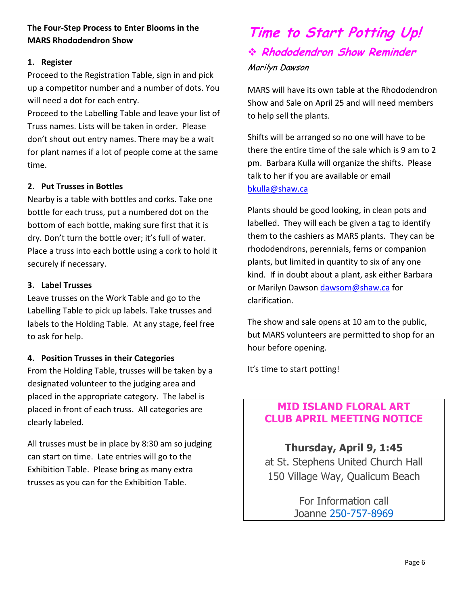#### **The Four-Step Process to Enter Blooms in the MARS Rhododendron Show**

#### **1. Register**

Proceed to the Registration Table, sign in and pick up a competitor number and a number of dots. You will need a dot for each entry.

Proceed to the Labelling Table and leave your list of Truss names. Lists will be taken in order. Please don't shout out entry names. There may be a wait for plant names if a lot of people come at the same time.

#### **2. Put Trusses in Bottles**

Nearby is a table with bottles and corks. Take one bottle for each truss, put a numbered dot on the bottom of each bottle, making sure first that it is dry. Don't turn the bottle over; it's full of water. Place a truss into each bottle using a cork to hold it securely if necessary.

#### **3. Label Trusses**

Leave trusses on the Work Table and go to the Labelling Table to pick up labels. Take trusses and labels to the Holding Table. At any stage, feel free to ask for help.

#### **4. Position Trusses in their Categories**

From the Holding Table, trusses will be taken by a designated volunteer to the judging area and placed in the appropriate category. The label is placed in front of each truss. All categories are clearly labeled.

All trusses must be in place by 8:30 am so judging can start on time. Late entries will go to the Exhibition Table. Please bring as many extra trusses as you can for the Exhibition Table.

## **Time to Start Potting Up! Rhododendron Show Reminder**  Marilyn Dawson

MARS will have its own table at the Rhododendron Show and Sale on April 25 and will need members to help sell the plants.

Shifts will be arranged so no one will have to be there the entire time of the sale which is 9 am to 2 pm. Barbara Kulla will organize the shifts. Please talk to her if you are available or email bkulla@shaw.ca

Plants should be good looking, in clean pots and labelled. They will each be given a tag to identify them to the cashiers as MARS plants. They can be rhododendrons, perennials, ferns or companion plants, but limited in quantity to six of any one kind. If in doubt about a plant, ask either Barbara or Marilyn Dawson dawsom@shaw.ca for clarification.

The show and sale opens at 10 am to the public, but MARS volunteers are permitted to shop for an hour before opening.

It's time to start potting!

#### **MID ISLAND FLORAL ART CLUB APRIL MEETING NOTICE**

**Thursday, April 9, 1:45**  at St. Stephens United Church Hall 150 Village Way, Qualicum Beach

> For Information call Joanne 250-757-8969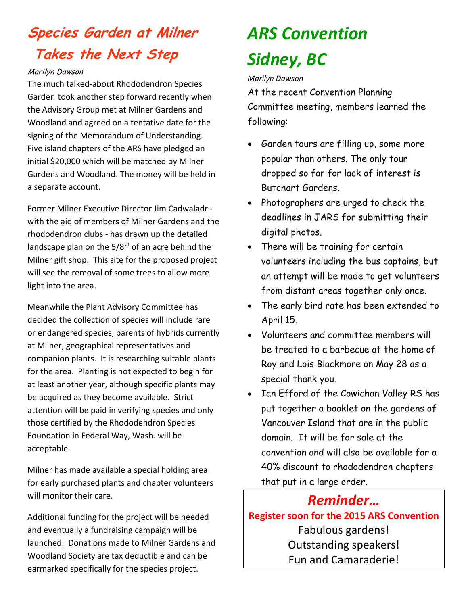## **Species Garden at Milner Takes the Next Step**

#### Marilyn Dawson

The much talked-about Rhododendron Species Garden took another step forward recently when the Advisory Group met at Milner Gardens and Woodland and agreed on a tentative date for the signing of the Memorandum of Understanding. Five island chapters of the ARS have pledged an initial \$20,000 which will be matched by Milner Gardens and Woodland. The money will be held in a separate account.

Former Milner Executive Director Jim Cadwaladr with the aid of members of Milner Gardens and the rhododendron clubs - has drawn up the detailed landscape plan on the  $5/8^{th}$  of an acre behind the Milner gift shop. This site for the proposed project will see the removal of some trees to allow more light into the area.

Meanwhile the Plant Advisory Committee has decided the collection of species will include rare or endangered species, parents of hybrids currently at Milner, geographical representatives and companion plants. It is researching suitable plants for the area. Planting is not expected to begin for at least another year, although specific plants may be acquired as they become available. Strict attention will be paid in verifying species and only those certified by the Rhododendron Species Foundation in Federal Way, Wash. will be acceptable.

Milner has made available a special holding area for early purchased plants and chapter volunteers will monitor their care.

Additional funding for the project will be needed and eventually a fundraising campaign will be launched. Donations made to Milner Gardens and Woodland Society are tax deductible and can be earmarked specifically for the species project.

## *ARS Convention Sidney, BC*

#### *Marilyn Dawson*

At the recent Convention Planning Committee meeting, members learned the following:

- Garden tours are filling up, some more popular than others. The only tour dropped so far for lack of interest is Butchart Gardens.
- Photographers are urged to check the deadlines in JARS for submitting their digital photos.
- There will be training for certain volunteers including the bus captains, but an attempt will be made to get volunteers from distant areas together only once.
- The early bird rate has been extended to April 15.
- Volunteers and committee members will be treated to a barbecue at the home of Roy and Lois Blackmore on May 28 as a special thank you.
- Ian Efford of the Cowichan Valley RS has put together a booklet on the gardens of Vancouver Island that are in the public domain. It will be for sale at the convention and will also be available for a 40% discount to rhododendron chapters that put in a large order.

## *Reminder…*

**Register soon for the 2015 ARS Convention**  Fabulous gardens! Outstanding speakers! Fun and Camaraderie!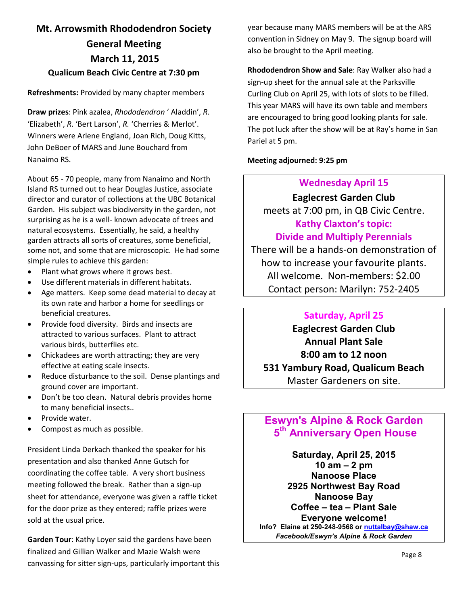## **Mt. Arrowsmith Rhododendron Society General Meeting March 11, 2015 Qualicum Beach Civic Centre at 7:30 pm**

#### **Refreshments:** Provided by many chapter members

**Draw prizes**: Pink azalea, *Rhododendron* ' Aladdin', *R*. 'Elizabeth', *R*. 'Bert Larson', *R.* 'Cherries & Merlot'. Winners were Arlene England, Joan Rich, Doug Kitts, John DeBoer of MARS and June Bouchard from Nanaimo RS.

About 65 - 70 people, many from Nanaimo and North Island RS turned out to hear Douglas Justice, associate director and curator of collections at the UBC Botanical Garden. His subject was biodiversity in the garden, not surprising as he is a well- known advocate of trees and natural ecosystems. Essentially, he said, a healthy garden attracts all sorts of creatures, some beneficial, some not, and some that are microscopic. He had some simple rules to achieve this garden:

- Plant what grows where it grows best.
- Use different materials in different habitats.
- Age matters. Keep some dead material to decay at its own rate and harbor a home for seedlings or beneficial creatures.
- Provide food diversity. Birds and insects are attracted to various surfaces. Plant to attract various birds, butterflies etc.
- Chickadees are worth attracting; they are very effective at eating scale insects.
- Reduce disturbance to the soil. Dense plantings and ground cover are important.
- Don't be too clean. Natural debris provides home to many beneficial insects..
- Provide water.
- Compost as much as possible.

President Linda Derkach thanked the speaker for his presentation and also thanked Anne Gutsch for coordinating the coffee table. A very short business meeting followed the break. Rather than a sign-up sheet for attendance, everyone was given a raffle ticket for the door prize as they entered; raffle prizes were sold at the usual price.

**Garden Tour**: Kathy Loyer said the gardens have been finalized and Gillian Walker and Mazie Walsh were canvassing for sitter sign-ups, particularly important this year because many MARS members will be at the ARS convention in Sidney on May 9. The signup board will also be brought to the April meeting.

**Rhododendron Show and Sale**: Ray Walker also had a sign-up sheet for the annual sale at the Parksville Curling Club on April 25, with lots of slots to be filled. This year MARS will have its own table and members are encouraged to bring good looking plants for sale. The pot luck after the show will be at Ray's home in San Pariel at 5 pm.

**Meeting adjourned: 9:25 pm**

#### **Wednesday April 15**

#### **Eaglecrest Garden Club**

meets at 7:00 pm, in QB Civic Centre. **Kathy Claxton's topic:** 

#### **Divide and Multiply Perennials**

There will be a hands-on demonstration of how to increase your favourite plants. All welcome. Non-members: \$2.00 Contact person: Marilyn: 752-2405

#### **Saturday, April 25**

**Eaglecrest Garden Club Annual Plant Sale 8:00 am to 12 noon 531 Yambury Road, Qualicum Beach** Master Gardeners on site.

#### **Eswyn's Alpine & Rock Garden 5th Anniversary Open House**

**Saturday, April 25, 2015 10 am – 2 pm Nanoose Place 2925 Northwest Bay Road Nanoose Bay Coffee – tea – Plant Sale Everyone welcome! Info? Elaine at 250-248-9568 or nuttalbay@shaw.ca** *Facebook/Eswyn's Alpine & Rock Garden*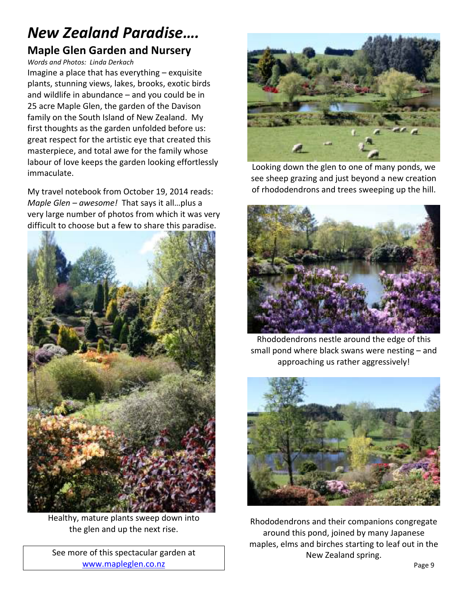## *New Zealand Paradise….*  **Maple Glen Garden and Nursery**

*Words and Photos: Linda Derkach* 

Imagine a place that has everything – exquisite plants, stunning views, lakes, brooks, exotic birds and wildlife in abundance – and you could be in 25 acre Maple Glen, the garden of the Davison family on the South Island of New Zealand. My first thoughts as the garden unfolded before us: great respect for the artistic eye that created this masterpiece, and total awe for the family whose labour of love keeps the garden looking effortlessly immaculate.

My travel notebook from October 19, 2014 reads: *Maple Glen – awesome!* That says it all…plus a very large number of photos from which it was very difficult to choose but a few to share this paradise.



Healthy, mature plants sweep down into the glen and up the next rise.

See more of this spectacular garden at www.mapleglen.co.nz



Looking down the glen to one of many ponds, we see sheep grazing and just beyond a new creation of rhododendrons and trees sweeping up the hill.



Rhododendrons nestle around the edge of this small pond where black swans were nesting – and approaching us rather aggressively!



Rhododendrons and their companions congregate around this pond, joined by many Japanese maples, elms and birches starting to leaf out in the New Zealand spring.